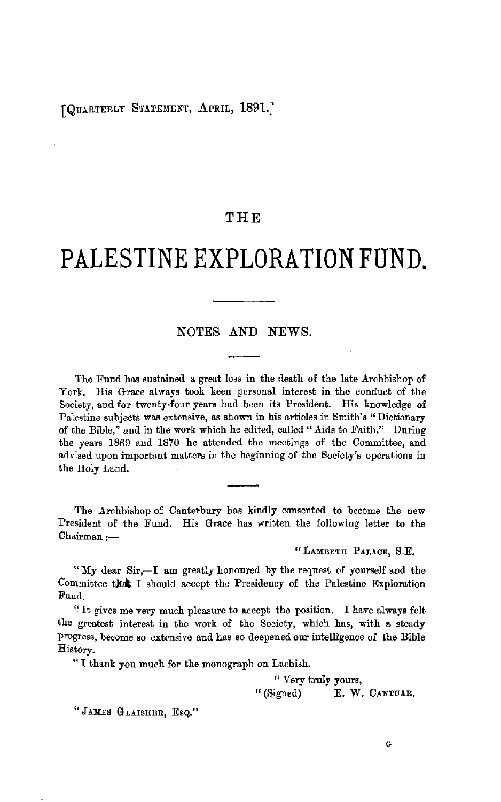## [QUARTERLY STATEMENT, APRIL, 1891.]

# **THE**

# **PALESTINE EXPLORATION FUND.**

# NOTES AND NEWS.

The Fund has sustained a great loss in the death of the late Archbishop of York. His Grace always took keen personal interest in the conduct of the Society, and for twenty-four years had been its President. His knowledge of Palestine subjects was extensive, as shown in his articles in Smith's "Dictionary of the Bible," and in the work which he edited, called "Aids to Faith." During the years 1869 and 1870 he attended the meetings of the Committee, and advised upon important matters in the beginning of the Society's operations in the Holy Land.

The Archbishop of Canterbury has kindly consented to become the new President of the Fund. His Grace has written the following letter to the Chairman:-

"LAMBETH PALACE, S.E.

"My dear  $Sir, -I$  am greatly honoured by the request of yourself and the Committee that I should accept the Presidency of the Palestine Exploration Fund.

"It gives me very much pleasure to accept the position. I have always felt the greatest interest in the work of the Society, which has, with a steady progress, become so extensive and has so deepened our intelligence of the Bible History.

" I thank you much for the monograph on Lachish.

" Very truly yours,

" (Signed) **E. W. CANTUAR.** 

"JAMES GLAISHER, EsQ."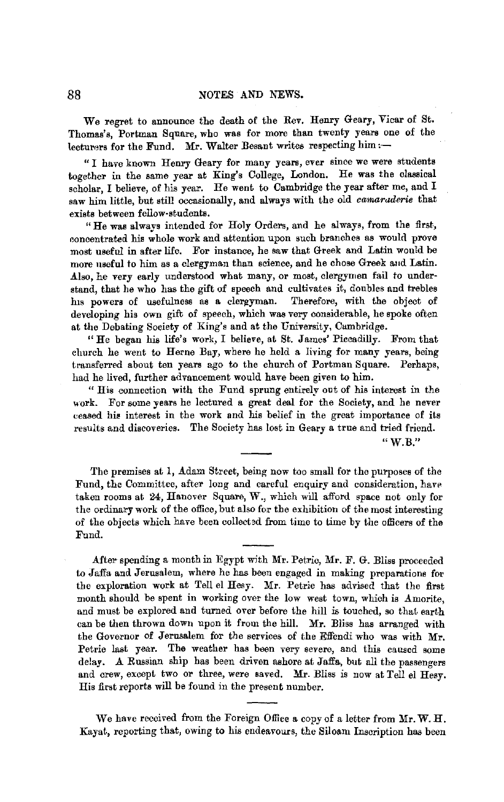We regret to announce the death of the Rev. Henry Geary, Vicar of St. Thomas's, Portman Square, who was for more than twenty years one of the lecturers for the Fund. Mr. Walter Besant writes respecting him: $-$ 

" I have known Henry Geary for many years, ever since we were students together in the same year at King's College, London, He was the classical scholar, I believe, of his year. He went to Cambridge the year after me, and I saw him little, but still occasionally, and always with the old *camaraderie* that exists between fellow-students.

"He was always intended for Holy Orders, and he always, from the first, concentrated his whole work and attention upon such branches as would prove most useful in after life. For instance, he saw that Greek and Latin wonld be more useful to him as a clergyman than science, and he chose Greek and Latin. Also, he very early understood what many, or most, clergymen fail to understand, that he who has the gift of speech and cultivates it, doubles and trebles his powers of usefulness as a clergyman. Therefore, with the object of developing his own gift of speech, which was very considerable, he spoke often at the Debating Society of King's and at the University, Cambridge.

"He began his life's work, I believe, at St. James' Piccadilly. From that church he went to Herne Bay, where he held a living for many years, being transferred about ten years ago to the church of Portman Square. Perhaps, had he lived, further advancement would have been given to him.

" His connection with the Fund sprung entirely out of his interest in the work. For some years he lectured a great deal for the Society, and he never ceased his interest in the work and his belief in the great importance of its results and discoveries. The Society has lost in Geary a true and tried friend.

 $"$  W.B."

The premises at 1, Adam Street, being now too small for the purposes of the Fund, the Committee, after long and careful enquiry and consideration, have takeu rooms at 24, Hanover Square, W., which will afford space not only for the ordinary work of the office, but also for the exhibition of the most interesting of the objects which have been collect3d from time to time by the officers of the Fund.

After spending a month in Egypt with Mr. Petric, Mr. F. G. Bliss proceeded to Jaffa and Jerusalem, where he has been engaged in making preparations for the exploration work at Tell el Hesy. Mr. Petrie has advised that the first month should be spent in working over the low west town, which is Amorite, and must be explored and turned over before the hill is touched, so that earth can be then thrown down upon it from the hill. Mr. Bliss has arranged with the Governor of Jerusalem for the services of the Effendi who was with Mr. Petrie last year. The weather has been very severe, and this caused some delay. A Russian ship has been driven ashore at Jaffa, but all the passengers and crew, except two or three, were saved. Mr. Bliss is now at Tell el Hesy. His first reports will be found in the present number.

We have received from the Foreign Office a copy of a letter from Mr. W. H. Kayat, reporting that, owing to his endeavours, the Siloam Inscription has been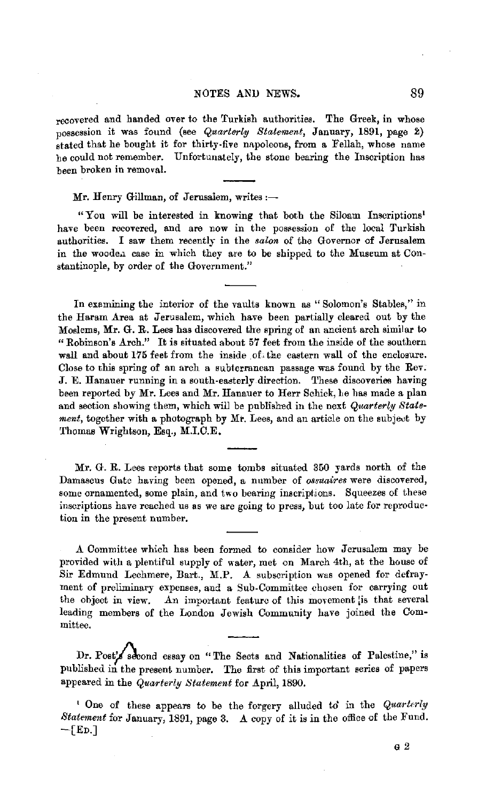### NOTES AND NEWS. 89

recovered and handed over to the Turkish authorities. The Greek, in whose possession it was found (see *Quarterly Statement,* January, 1891, page 2) stated that he bought it for thirty-five napoleons, from a Fellah, whose name be could not remember. Unfortunately, the stone bearing the Inscription has been broken in removal.

Mr. Henry Gillman, of Jerusalem, writes:-

"You will be interested in knowing that both the Siloam Inscriptions' have been recovered, and are now in the possession of the local Turkish authorities. I saw them recently in the *salon* of the Governor of Jerusalem in the wooden case in which they are to be shipped to the Museum at Constantinople, by order of the Government."

In examining the interior of the vaults known as "Solomon's Stables," in the Haram Area at Jerusalem, which have been partially cleared out by the Moslems, Mr. G. R. Lees has discovered the spring of an ancient arch similar to "Robinson's Arch." It is situated about 57 feet from the inside of the southern wall and about 175 feet from the inside of the eastern wall of the enclosure. Close to this spring of an arch a subterranean passage was found by the Rev. J. E. Hanauer running in a south-easterly direction. 'l'hese discoveries having been reported by Mr. Lees and Mr. Hanauer to Herr Schick, he has made a plan and section showing them, which will be published in the next *Quarterly Statement*, together with a photograph by Mr. Lees, and an article on the subject by Thomas Wrightson, Esq., M.I.C.E.

Mr. G. R. Lees reports that some tombs situated 350 yards north of the Damascus Gate having been opened, a number of *ossuaires* were discovered, some ornamented, some plain, and two bearing inscriptions. Squeezes of these inscriptions have reached ns as we are going to press, but too late for reproduc• tion in the present number.

A Committee which has been formed to consider how Jerusalem may be provided with a plentiful supply of water, met on March 4th, at the house of Sir Edmund Lechmere, Bart., M.P. A subscription was opened for defrayment of preliminary expenses, and a Sub-Committee chosen for carrying out the object in view. An important feature of this movement is that several An important feature of this movement [is that several leading members of the London Jewish Community have joined the Committee.

Dr. Posty second essay on "The Sects and Nationalities of Palestine," is published in the present number. The first of this important series of papers appeared in the *Quarterly Statement* for April, 1890.

' One of these appears to be the forgery alluded to in the *Quarterly Statement* for January, 1891, page 3. A copy of it is in the office of the Fund.  $-$ [Ep.]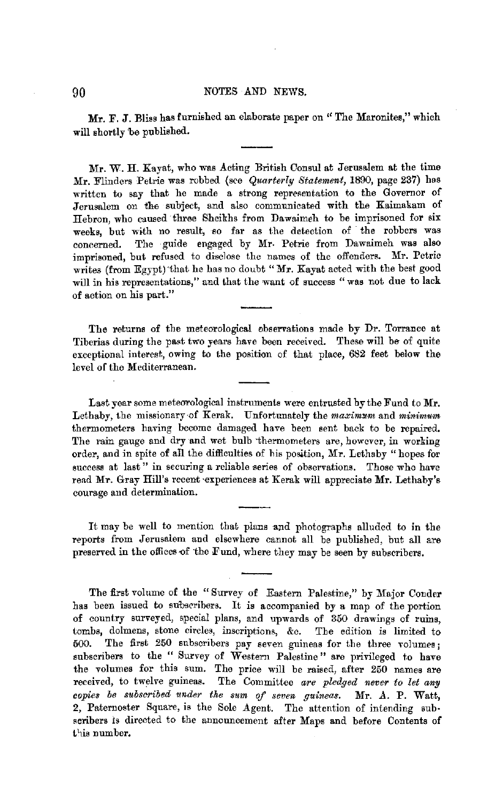Mr. F. J. Bliss has furnished an elaborate paper on "The Maronites," which will shortly 'be published.

Mr. W. H. Kayat, who was Acting British Consul at Jerusalem at the time Mr. Flinders Petrie was robbed (see *Quarterly Statement,* 1890, page 237) has written to say that he made a strong representation to the Governor of Jerusalem on the subject, and also communicated with the Kaimakam of Hebron, who caused three Sheikhs from Dawaimeh to be imprisoned for six weeks, but with no result, so far as the detection of the robbers was concerned. The guide engaged by Mr. Petrie from Dawaimeh was also imprisoned, but refused to disclose the names of the offenders. Mr. Petric writes (from Egypt) that he has no doubt "Mr. Kayat acted with the best good will in his representations," and that the want of success "was not due to lack of action on his part."

The returns of the meteorological ebservations made by Dr. Torrance at Tiberias during the past two years have been received. These will be of quite exceptional interest, owing to the position of that place, 682 feet below the level of the Mediterranean.

Last year some meteorological instruments were entrusted by the Fund to Mr. Lethaby, the missionary of *Kerak*. Unfortunately the *maximum* and *minimum* thermometers having become damaged have been sent back to be repaired. The rain gauge and dry and wet bulb thermometers are, however, in working order, and in spite of all the difficulties of his position, Mr. Lethaby "hopes for success at last" in securing a reliable series of observations. Those who have read Mr. Gray Hill's recent experiences at Kerak will appreciate Mr. Lethaby's courage and determination.

It may be well to mention that plans and photographs alluded to in the reports from Jerusalem and elsewhere cannot all be published, but all are preserved in the offices of the Fund, where they may be seen by subscribers.

The first volume of the "Survey of Eastern Palestine," by Major Conder has been issued to subsrribers. It is accompanied by a map of the portion of country surveyed, special plans, and upwards of 350 drawings of ruins, tombs, dolmens, stone circles, inscriptions, &c. The edition is limited to 500. The first 250 subscribers pay seven guineas for the three volumes; subscribers to the " Survey of Western Palestine" are privileged to have the volumes for this sum. The price will be raised, after 250 names are received, to twelve guineas. The Committee *are pledged never to let any copies be subscribed under the sum of seven guineas.* Mr. A. P. Watt, 2, Paternoster Square, is the Sole Agent. The attention of intending subscribers is directed to the announcement after Maps and before Contents of this number.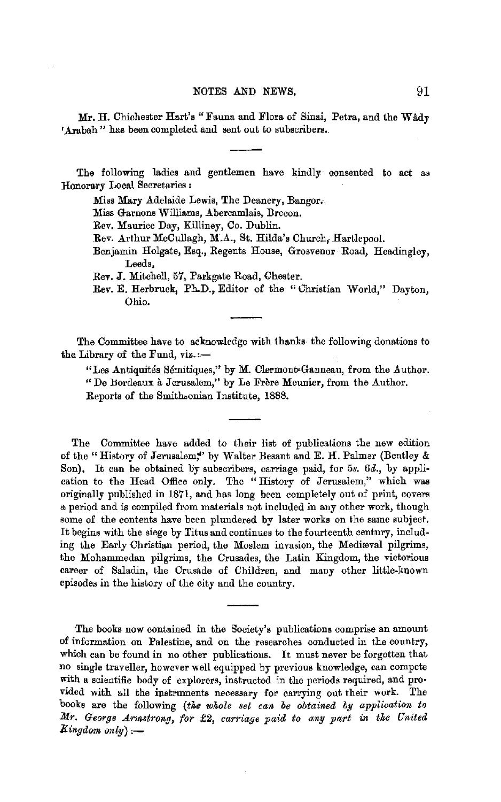Mr. H. Chichester Hart's "Fauna and Flora of Sinai, Petra, and the Wadv 'Arabah" has been completed and sent out to subscribers.

The following ladies and gentlemen have kindly oonsented to act as Honorary Local Secretaries :

Miss Mary Adelaide Lewis, The Deanery, Bangor.

Miss Garnons Williams, Abercamlais, Brecon.

Rev. Maurice Day, Killiney, Co. Dublin.

Rev. Arthur McCullagh, M.A., St. Hilda's Church, Hartlepool.

Benjamin Holgate, Esq., Regents House, Grosvenor Road, Headingley, Leeds,

Rev. J. Mitchell, 57, Parkgate Road, Chester.

Rev. E. Herbruck, Ph.D., Editor of the "Ghristian World," Dayton, Ohio.

The Committee have to acknowledge with thanks- the following donations to the Library of the Fund, viz.:-

"Les Antiquités Sémitiques," by M. Clermont-Ganneau, from the Author. "De Bordeaux à Jerusalem," by Le Frère Meunier, from the Author.

Reports of the Smithoonian Institute, 1888.

The Committee have added to their list of publications the new edition of the "History of Jerusalem." by Walter Besant and E. H. Palmer (Bentley & Son). It can be obtained by subscribers, carriage paid, for 5s. 6d., by application to the Head Office only. The "History of Jerusalem," which was originally published in 1871, and has long been completely out of print, covers a period and is compiled from materials not included in any other work, though some of the contents have been plundered by later works on the same subject. It begins with the siege by Titus and continues to the fourteenth century, including the Early Christian period, the Moslem invasion, the Mediooval pilgrims, the Mohammedan pilgrims, the Crusades, the Latin Kingdom, the victorious career of Saladin, the Crusade of Children, and many other little-known episodes in the history of the city and the country.

The books now contained in the Society's publications comprise an amount of information on Palestine, and on the researches conducted in the country, which can be found in no other publications. It mnst never be forgotten that no single traveller, however well equipped by previous knowledge, can compete with a scientific body of explorers, instructed in the periods required, and pro• vided with all the instruments necessary for carrying out their work. The books are the following *(the whole set can be obtained by application to Mr. G-e01'ge .Ar,r.strong, for* £2, *carriage paid to any part in the United Eingdom only),-*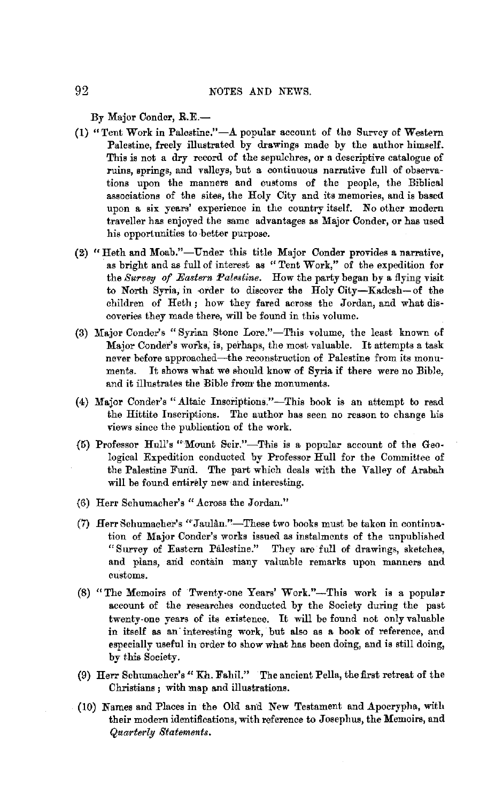By Major Conder, R.E.-

- (1) "Tent Work in Palestine." $-A$  popular account of the Survey of Western Palestine, freely illustrated by drawings made by the author himself. This is not a dry record of the sepulchres, or a descriptive catalogue of ruins, springs, and valleys, but a continuous narrative full of observations upon the manners and customs of the people, the Biblical associations of the sites, the Holy City and its memories, and is based upon a six years' experience in the country itself. No other modern traveller has enjoyed the same advantages as Major Conder, or has used his opportunities to better purpose.
- (2) "Heth and Moab."-Under this title Major Conder provides a narrative, as bright and as full of interest as "Tent Work," of the expedition for the *Survey of Eastern Palestine.* How the party began by a flying visit to North Syria, in -order to discover the Holy City-Kadcsh-of the children of Heth ; how they fared across the Jordan, and what discoveries they made there, will be found in this volume.
- (3) Major Conder's "Syrian Stone Lore."-This volume, the least known of Major Conder's works, is, perhaps, the most valuable. It attempts a task never before approached-the reconstruction of Palestine from its monuments. It shows what we should know of Syria if there were no Bible, and it illustrates the Bible from the monuments.
- (4) Major Conder's "Altaic Inscriptions."-This book is an attempt to read the Hittite Inscriptions. The author has seen no reason to change his views since the publication of the work.
- $(5)$  Professor Hull's "Mount Seir."-This is a popular account of the Geological Expedition conducted by Professor Hull for the Committee of the Palestine Fund. The part which deals with the Valley of Arabah will be found entirely new and interesting.
- (6) Herr Schumacher's "Across the Jordan."
- (7) Herr Schumacher's "Jaulân."-These two books must be taken in continuation of Major Conder's works issued as instalments of the unpublished "Survey of Eastern Palestine." They aro full of drawings, sketches, and plans, arid contain many valuable remarks upon manners and customs.
- $(8)$  "The Memoirs of Twenty-one Years' Work."-This work is a popular account of the researches conducted by the Society during the past twenty-one years of its existence. It will be found not only valuable in itself as an interesting work, but also as a book of reference, and especially useful in order to show what has been doing, and is still doing, by this Society.
- (9) Hen Schumacher's" Kh. Fahil." · The ancient Pella, the first retreat of the Christians ; with map and illustrations.
- (10) Names and Places in the Old and New Testament and Apocrypha, with their modern identifications, with reference to Josephus, the Memoirs, and *Quarterly Statements.*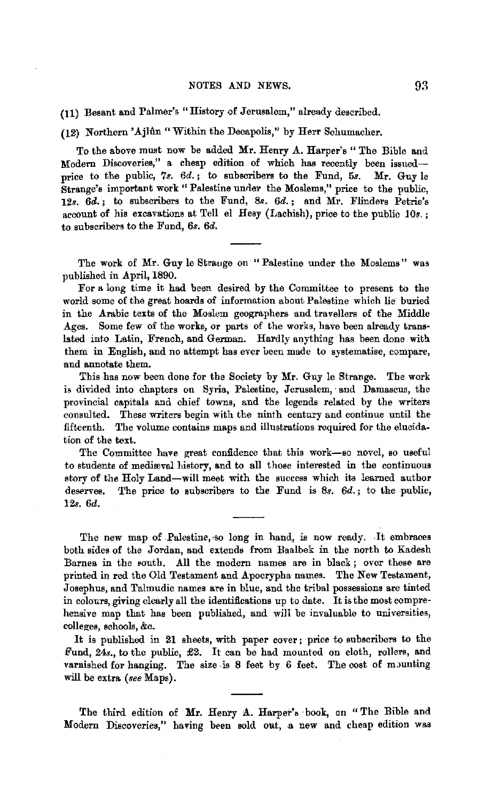**(11)** Besant and Palmer's "History of Jerusalem," already described.

(12) Northern' Ajhln "Within the Decapolis," by Herr Schumacher.

To the above must now be added **Mr.** Henry A. Harper's "The Bible aud Modern Discoveries," a cheap edition of which has recently been issuedprice to the public, 7s. *6d.;* to subscribers to the Fund, 5s. **Mr.** Guy le Strange's important work "Palestine under the Moslems," price to the public, 12s. *6d.;* to subscribers to the Fund, &. *6d.;* and Mr. Flinders Petrie's account of his excavations at Tell el Hesy (Lachish), price to the public  $10s$ . to subscribers to the Fund, *6s. 6d.* 

The work of Mr. Guy le Strange on "Palestine under the Moslems" was published in April, 1890.

For a long time it had been desired by the Committee to present to the world some of the great hoards of information about Palestine which lie buried in the Arabic texts of the Moslem geographers and travellers of the Middle Ages. Some few of the works, or parts of the works, have been already translated into Latin, French, and German. Hardly anything has been done with. them in English, and no attempt has ever been made to systematise, compare, and annotate them.

This has now been done for the Society by **Mr.** Guy le Strange. The work is divided into chapters on Syria, Palestine, Jerusalem, and Damascus, the provincial capitals and chief towns, and the legends related by the writers consulted. These writers begin with the ninth century and continue until the fifteenth. The volume contains maps and illustrations required for the elucidation of the text.

The Committee have great confidence that this work-so novel, so useful to students of mediaval history, and to all those interested in the continuous story of the Holy Land-will meet with the success which its learned author deserves. The price to subscribers to the Fund is 8s. *6d.;* to the public, 12s. *6d.* 

The new map of Palestine, so long in hand, is now ready. It embraces both sides of the Jordan, and extends from Baalbek in the north to Kadesh Barnea in the south. All the modern names are in black; over these are printed in red the Old Testament and Apocrypha names. The New Testament, Josephus, and Talmudic names are in blue, and the tribal possessions are tinted in colours, giving clearly all the identifications up to date. It is the most compre· hensive map that has been published, and will be invaluable to universities, colleges, schools, &c.

It is published in 21 sheets, with paper cover; price to subscribers to the Fund, 24s., to the public, £2. It can be had mounted on cloth, rollers, and varnished for hanging. The size is 8 feet by 6 feet. The cost of mounting will be extra *(see* Maps).

The third edition of Mr. Henry A. Harper's book, on "The Bible and Modern Discoveries," having been sold out, a new and cheap edition was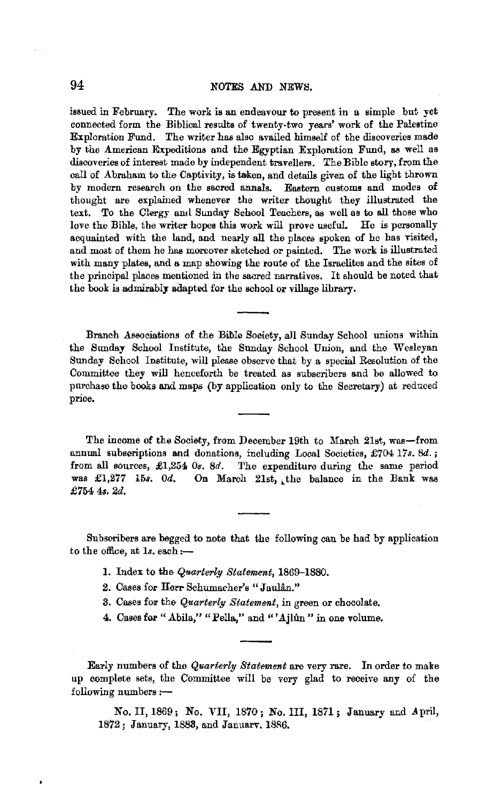issued in February. The work is an endeavour to present in a simple but yet connected form the Biblical results of twenty-two years' work of the Palestine Exploration Fund. The writer has also availed himself of the discoveries made by the American Rxpeditiona and the Egyptian Exploration Fund, as well as discoveries of interest made by independent travellers. The Bible story, from the call of Abraham to the Captivity, is taken, and details given of the light thrown by modern research on the sacred annals. Eastern customs and modes of thought are explained whenever the writer thought they illustrated the text. To the Clergy and Sunday School Teachers, as well as to all those who love the Bible, the writer hopes this work will prove useful. He is personally acquainted with the land, and nearly all the places spoken of he has visited, and most of them he has moreover sketched or painted. The work is illustrated with many plates, and a map showing the route of the Israelites and the sites of the principal places mentioned in the sacred narratives. It should be noted that the book is admirably adapted for the school or village library.

Branch Associations of the Bible Society, all Sunday School unions within the Sunday School Institute, the Sunday School Union, and the Wesleyan Sunday School Institute, will please observe that by a special Resolution of the Committee they will henceforth be treated as subscribers and be allowed to purchase the books and maps (by application only to the Secretary) at reduced price.

The income of the Society, from December 19th to March 21st, was-from annual subscriptions and donations, including Local Societies, £704 17s. 8d.; from all sources, £1,254 0s. 8d. The expenditure during the same period was £1,277 15s. 0d. On March 21st, the balance in the Bank was On March 21st, the balance in the Bank was £754 48. 2d.

Subseribers are begged to note that the following can be had by application to the office, at 1s. each:-

- 1. Index to the *Quarterly Statement*, 1869-1880.
- 2. Cases for Herr Schumacher's "Jaulân."
- 3. Cases for the *Quarterly Statement,* in green or chocolate.
- 4. Cases for "Abila," "Pella," and "'Ajlûn" in one volume.

Early numbers of the *Quarterly Statement* are very rare. In order to malre up complete sets, the Committee will be very glad to receive any of the following numbers :-

No. II, 1869; No. VII, 1870; No. III, 1871; January and April, 1872; January, 1888, and Januarv. 1886,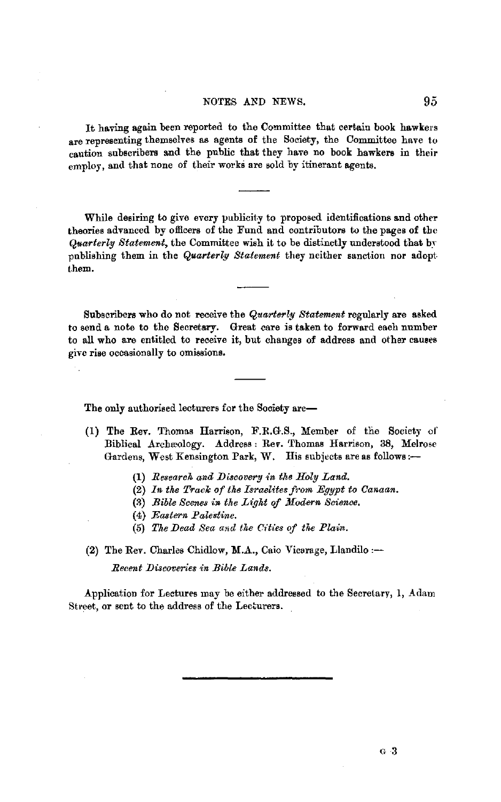### NOTES AND NEWS. 95

It having again been reported to the Committee that certain book hawkers are representing themselves as agents of the Society, the Committee have to caution subscribers and the public that they have no book hawkers in their employ, and that none of their works are sold by itinerant agents.

While desiring to give every publicity to proposed identifications and other theories advanced by officers of the Fund and contributors to the pages of the *Quarterly Statement,* the Committee wish it to be distinctly understood that by publishing them in the *Quarterly Statement* they neither sanction nor adopt. them.

Subscribers who do not receive the *Quarterly Statement* regularly are asked to send a note to the Secretary. Great care is taken to forward each number to all who are entitled to receive it, but changes of address and other causes give rise occasionally to omissions.

The only authorised lecturers for the Society are-

- (1) The Rev. Thomas Harrison, F.R.G.S., Member of the Society of Biblical Archæology. Address: Rev. Thomas Harrison, 38, Melrose Gardens, West Kensington Park, W. His subjects are as follows:--
	- (1) *Research and Discovery in the Holy Land.*
	- (2) In the Track of the Israelites from Egypt to Canaan.
	- (3) *Bible Scenes in the Light of Modern Science.*
	- (4) *Eastern Palestine.*
	- (5) The Dead Sea and the Cities of the Plain.
- **(2)** The Rev. Charles Chidlow, **M.A.,** Caio Vicarage, Llandilo :-

*Recent JJiscoveries in Bible Lands.* 

Application for Lectures may be either addressed to the Secretary, 1, Adam Street, or sent to the address of the Lecturers.